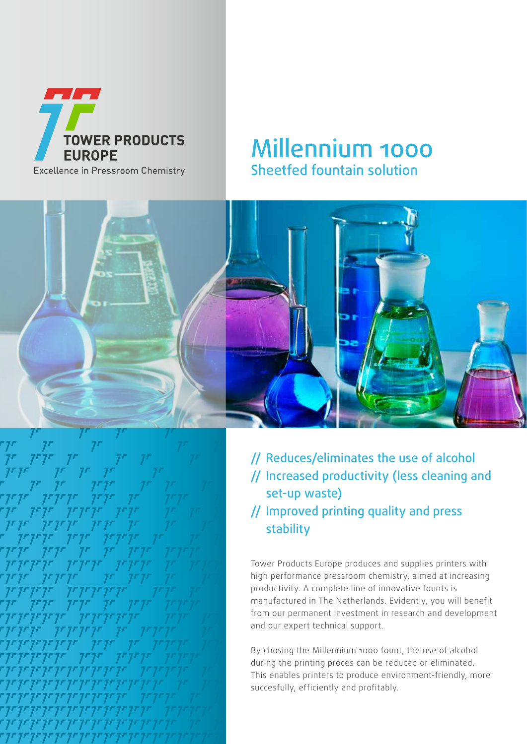

## Millennium 1000 Sheetfed fountain solution



// Reduces/eliminates the use of alcohol // Increased productivity (less cleaning and set-up waste) // Improved printing quality and press stability

Tower Products Europe produces and supplies printers with high performance pressroom chemistry, aimed at increasing productivity. A complete line of innovative founts is manufactured in The Netherlands. Evidently, you will benefit from our permanent investment in research and development and our expert technical support.

By chosing the Millennium 1000 fount, the use of alcohol during the printing proces can be reduced or eliminated. This enables printers to produce environment-friendly, more succesfully, efficiently and profitably.